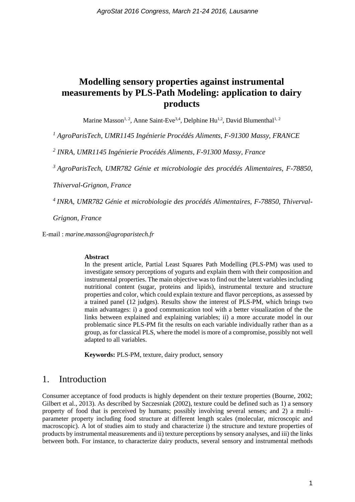# **Modelling sensory properties against instrumental measurements by PLS-Path Modeling: application to dairy products**

Marine Masson<sup>1, 2</sup>, Anne Saint-Eve<sup>3,4</sup>, Delphine Hu<sup>1,2</sup>, David Blumenthal<sup>1, 2</sup>

*<sup>1</sup> AgroParisTech, UMR1145 Ingénierie Procédés Aliments, F-91300 Massy, FRANCE*

*2 INRA, UMR1145 Ingénierie Procédés Aliments, F-91300 Massy, France*

*<sup>3</sup>AgroParisTech, UMR782 Génie et microbiologie des procédés Alimentaires, F-78850,* 

*Thiverval-Grignon, France*

*<sup>4</sup>INRA, UMR782 Génie et microbiologie des procédés Alimentaires, F-78850, Thiverval-*

*Grignon, France*

E-mail : *marine.masson@agroparistech.fr*

#### **Abstract**

In the present article, Partial Least Squares Path Modelling (PLS-PM) was used to investigate sensory perceptions of yogurts and explain them with their composition and instrumental properties. The main objective was to find out the latent variables including nutritional content (sugar, proteins and lipids), instrumental texture and structure properties and color, which could explain texture and flavor perceptions, as assessed by a trained panel (12 judges). Results show the interest of PLS-PM, which brings two main advantages: i) a good communication tool with a better visualization of the the links between explained and explaining variables; ii) a more accurate model in our problematic since PLS-PM fit the results on each variable individually rather than as a group, as for classical PLS, where the model is more of a compromise, possibly not well adapted to all variables.

**Keywords:** PLS-PM, texture, dairy product, sensory

## 1. Introduction

Consumer acceptance of food products is highly dependent on their texture properties (Bourne, 2002; Gilbert et al., 2013). As described by Szczesniak (2002), texture could be defined such as 1) a sensory property of food that is perceived by humans; possibly involving several senses; and 2) a multiparameter property including food structure at different length scales (molecular, microscopic and macroscopic). A lot of studies aim to study and characterize i) the structure and texture properties of products by instrumental measurements and ii) texture perceptions by sensory analyses, and iii) the links between both. For instance, to characterize dairy products, several sensory and instrumental methods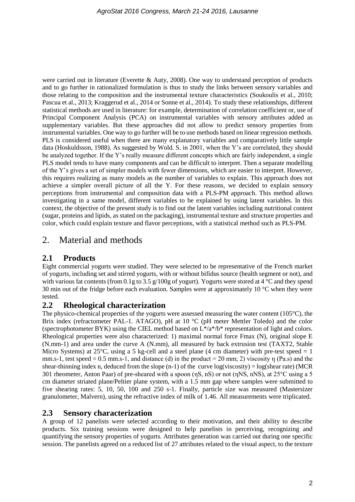were carried out in literature (Everette & Auty, 2008). One way to understand perception of products and to go further in rationalized formulation is thus to study the links between sensory variables and those relating to the composition and the instrumental texture characteristics (Soukoulis et al., 2010; Pascua et al., 2013; Kraggerud et al., 2014 or Sonne et al., 2014). To study these relationships, different statistical methods are used in literature: for example, determination of correlation coefficient or, use of Principal Component Analysis (PCA) on instrumental variables with sensory attributes added as supplementary variables. But these approaches did not allow to predict sensory properties from instrumental variables. One way to go further will be to use methods based on linear regression methods. PLS is considered useful when there are many explanatory variables and comparatively little sample data (Hoskuldsson, 1988). As suggested by Wold. S. in 2001, when the Y's are correlated, they should be analyzed together. If the Y's really measure different concepts which are fairly independent, a single PLS model tends to have many components and can be difficult to interpret. Then a separate modelling of the Y's gives a set of simpler models with fewer dimensions, which are easier to interpret. However, this requires realizing as many models as the number of variables to explain. This approach does not achieve a simpler overall picture of all the Y. For these reasons, we decided to explain sensory perceptions from instrumental and composition data with a PLS-PM approach. This method allows investigating in a same model, different variables to be explained by using latent variables. In this context, the objective of the present study is to find out the latent variables including nutritional content (sugar, proteins and lipids, as stated on the packaging), instrumental texture and structure properties and color, which could explain texture and flavor perceptions, with a statistical method such as PLS-PM.

# 2. Material and methods

## **2.1 Products**

Eight commercial yogurts were studied. They were selected to be representative of the French market of yogurts, including set and stirred yogurts, with or without bifidus source (health segment or not), and with various fat contents (from 0.1g to 3.5 g/100g of yogurt). Yogurts were stored at 4 °C and they spend 30 min out of the fridge before each evaluation. Samples were at approximately 10 °C when they were tested.

### **2.2 Rheological characterization**

The physico-chemical properties of the yogurts were assessed measuring the water content (105°C), the Brix index (refractometer PAL-1. ATAGO), pH at 10 °C (pH meter Mettler Toledo) and the color (spectrophotometer BYK) using the CIEL method based on  $L^*/a^*/b^*$  representation of light and colors. Rheological properties were also characterized: 1) maximal normal force Fmax (N), original slope E (N.mm-1) and area under the curve A (N.mm), all measured by back extrusion test (TAXT2, Stable Micro Systems) at  $25^{\circ}$ C, using a 5 kg-cell and a steel plane (4 cm diameter) with pre-test speed = 1 mm.s-1, test speed = 0.5 mm.s-1, and distance (d) in the product = 20 mm; 2) viscosity  $\eta$  (Pa.s) and the shear-thinning index n, deduced from the slope  $(n-1)$  of the curve log(viscosity) = log(shear rate) (MCR 301 rheometer, Anton Paar) of pre-sheared with a spoon (ηS, nS) or not (ηNS, nNS), at 25°C using a 5 cm diameter striated plane/Peltier plane system, with a 1.5 mm gap where samples were submitted to five shearing rates: 5, 10, 50, 100 and 250 s-1. Finally, particle size was measured (Mastersizer granulometer, Malvern), using the refractive index of milk of 1.46. All measurements were triplicated.

### **2.3 Sensory characterization**

A group of 12 panelists were selected according to their motivation, and their ability to describe products. Six training sessions were designed to help panelists in perceiving, recognizing and quantifying the sensory properties of yogurts. Attributes generation was carried out during one specific session. The panelists agreed on a reduced list of 27 attributes related to the visual aspect, to the texture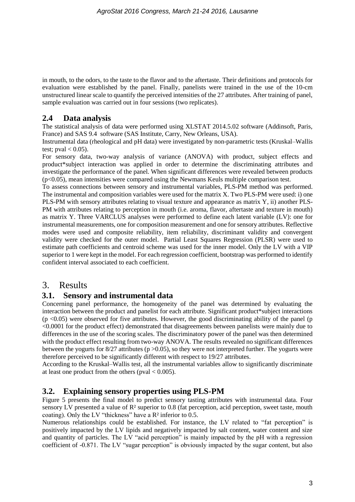in mouth, to the odors, to the taste to the flavor and to the aftertaste. Their definitions and protocols for evaluation were established by the panel. Finally, panelists were trained in the use of the 10-cm unstructured linear scale to quantify the perceived intensities of the 27 attributes. After training of panel, sample evaluation was carried out in four sessions (two replicates).

## **2.4 Data analysis**

The statistical analysis of data were performed using XLSTAT 2014.5.02 software (Addinsoft, Paris, France) and SAS 9.4 software (SAS Institute, Carry, New Orleans, USA).

Instrumental data (rheological and pH data) were investigated by non-parametric tests (Kruskal–Wallis test; pval  $< 0.05$ ).

For sensory data, two-way analysis of variance (ANOVA) with product, subject effects and product\*subject interaction was applied in order to determine the discriminating attributes and investigate the performance of the panel. When significant differences were revealed between products (p<0.05), mean intensities were compared using the Newmans Keuls multiple comparison test.

To assess connections between sensory and instrumental variables, PLS-PM method was performed. The instrumental and composition variables were used for the matrix X. Two PLS-PM were used: i) one PLS-PM with sensory attributes relating to visual texture and appearance as matrix Y, ii) another PLS-PM with attributes relating to perception in mouth (i.e. aroma, flavor, aftertaste and texture in mouth) as matrix Y. Three VARCLUS analyses were performed to define each latent variable (LV): one for instrumental measurements, one for composition measurement and one for sensory attributes. Reflective modes were used and composite reliability, item reliability, discriminant validity and convergent validity were checked for the outer model. Partial Least Squares Regression (PLSR) were used to estimate path coefficients and centroid scheme was used for the inner model. Only the LV with a VIP superior to 1 were kept in the model. For each regression coefficient, bootstrap was performed to identify confident interval associated to each coefficient.

## 3. Results

## **3.1. Sensory and instrumental data**

Concerning panel performance, the homogeneity of the panel was determined by evaluating the interaction between the product and panelist for each attribute. Significant product\*subject interactions  $(p \le 0.05)$  were observed for five attributes. However, the good discriminating ability of the panel (p <0.0001 for the product effect) demonstrated that disagreements between panelists were mainly due to differences in the use of the scoring scales. The discriminatory power of the panel was then determined with the product effect resulting from two-way ANOVA. The results revealed no significant differences between the yogurts for  $8/27$  attributes (p  $>0.05$ ), so they were not interpreted further. The yogurts were therefore perceived to be significantly different with respect to 19/27 attributes.

According to the Kruskal–Wallis test, all the instrumental variables allow to significantly discriminate at least one product from the others (pval  $< 0.005$ ).

### **3.2. Explaining sensory properties using PLS-PM**

Figure 5 presents the final model to predict sensory tasting attributes with instrumental data. Four sensory LV presented a value of  $\mathbb{R}^2$  superior to 0.8 (fat perception, acid perception, sweet taste, mouth coating). Only the LV "thickness" have a R² inferior to 0.5.

Numerous relationships could be established. For instance, the LV related to "fat perception" is positively impacted by the LV lipids and negatively impacted by salt content, water content and size and quantity of particles. The LV "acid perception" is mainly impacted by the pH with a regression coefficient of -0.871. The LV "sugar perception" is obviously impacted by the sugar content, but also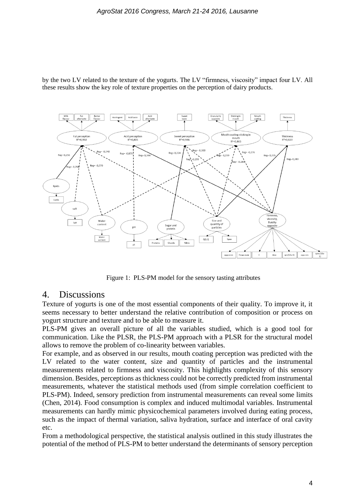

by the two LV related to the texture of the yogurts. The LV "firmness, viscosity" impact four LV. All these results show the key role of texture properties on the perception of dairy products.

Figure 1: PLS-PM model for the sensory tasting attributes

## 4. Discussions

Texture of yogurts is one of the most essential components of their quality. To improve it, it seems necessary to better understand the relative contribution of composition or process on yogurt structure and texture and to be able to measure it.

PLS-PM gives an overall picture of all the variables studied, which is a good tool for communication. Like the PLSR, the PLS-PM approach with a PLSR for the structural model allows to remove the problem of co-linearity between variables.

For example, and as observed in our results, mouth coating perception was predicted with the LV related to the water content, size and quantity of particles and the instrumental measurements related to firmness and viscosity. This highlights complexity of this sensory dimension. Besides, perceptions as thickness could not be correctly predicted from instrumental measurements, whatever the statistical methods used (from simple correlation coefficient to PLS-PM). Indeed, sensory prediction from instrumental measurements can reveal some limits (Chen, 2014). Food consumption is complex and induced multimodal variables. Instrumental measurements can hardly mimic physicochemical parameters involved during eating process, such as the impact of thermal variation, saliva hydration, surface and interface of oral cavity etc.

From a methodological perspective, the statistical analysis outlined in this study illustrates the potential of the method of PLS-PM to better understand the determinants of sensory perception